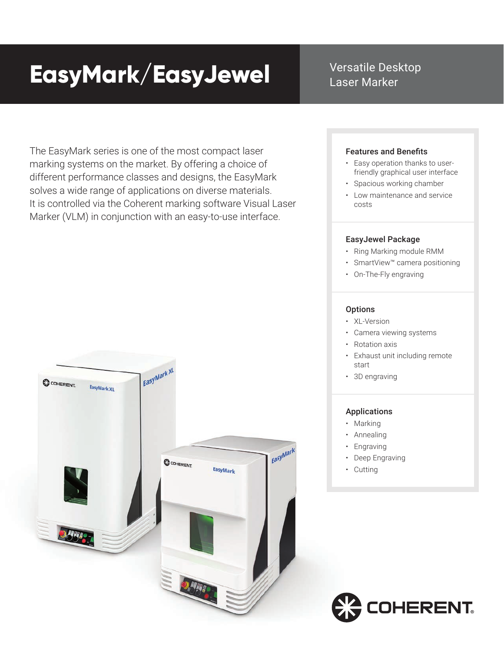# **EasyMark/EasyJewel**

Versatile Desktop Laser Marker

The EasyMark series is one of the most compact laser marking systems on the market. By offering a choice of different performance classes and designs, the EasyMark solves a wide range of applications on diverse materials. It is controlled via the Coherent marking software Visual Laser Marker (VLM) in conjunction with an easy-to-use interface.

EasyMark XL

COHERENT.

EasyMark

COHERENT.

EasyMark XL

# Features and Benefits

- Easy operation thanks to user friendly graphical user interface
- Spacious working chamber
- Low maintenance and service costs

## EasyJewel Package

- Ring Marking module RMM
- SmartView™ camera positioning
- On-The-Fly engraving

#### **Options**

- XL-Version
- Camera viewing systems
- Rotation axis
- Exhaust unit including remote start
- 3D engraving

#### Applications

- Marking
- Annealing
- Engraving
- Deep Engraving
- Cutting

Easy<sub>Mark</sub>

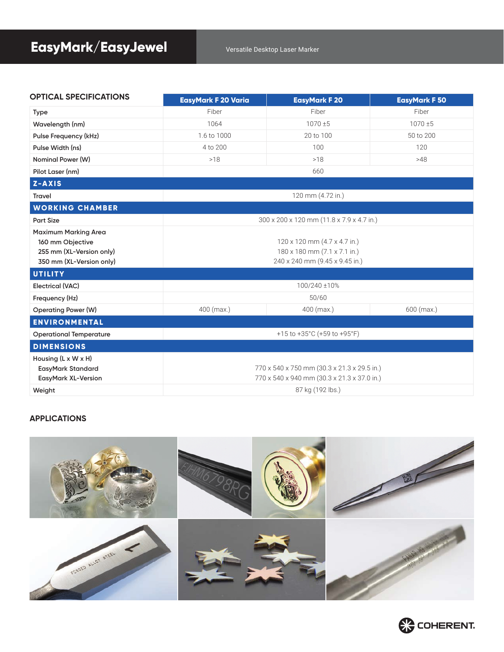| <b>OPTICAL SPECIFICATIONS</b>                                                                           | <b>EasyMark F 20 Varia</b>                                                                     | <b>EasyMark F 20</b> | <b>EasyMark F 50</b> |
|---------------------------------------------------------------------------------------------------------|------------------------------------------------------------------------------------------------|----------------------|----------------------|
| <b>Type</b>                                                                                             | Fiber                                                                                          | Fiber                | Fiber                |
| Wavelength (nm)                                                                                         | 1064                                                                                           | 1070±5               | $1070 \pm 5$         |
| Pulse Frequency (kHz)                                                                                   | 1.6 to 1000                                                                                    | 20 to 100            | 50 to 200            |
| Pulse Width (ns)                                                                                        | 4 to 200                                                                                       | 100                  | 120                  |
| Nominal Power (W)                                                                                       | >18                                                                                            | >18                  | >48                  |
| Pilot Laser (nm)                                                                                        | 660                                                                                            |                      |                      |
| Z-AXIS                                                                                                  |                                                                                                |                      |                      |
| <b>Travel</b>                                                                                           | 120 mm (4.72 in.)                                                                              |                      |                      |
| <b>WORKING CHAMBER</b>                                                                                  |                                                                                                |                      |                      |
| <b>Part Size</b>                                                                                        | 300 x 200 x 120 mm (11.8 x 7.9 x 4.7 in.)                                                      |                      |                      |
| <b>Maximum Marking Area</b><br>160 mm Objective<br>255 mm (XL-Version only)<br>350 mm (XL-Version only) | 120 x 120 mm (4.7 x 4.7 in.)<br>180 x 180 mm (7.1 x 7.1 in.)<br>240 x 240 mm (9.45 x 9.45 in.) |                      |                      |
| <b>UTILITY</b>                                                                                          |                                                                                                |                      |                      |
| <b>Electrical (VAC)</b>                                                                                 | 100/240 ±10%                                                                                   |                      |                      |
| Frequency (Hz)                                                                                          | 50/60                                                                                          |                      |                      |
| <b>Operating Power (W)</b>                                                                              | 400 (max.)                                                                                     | 400 (max.)           | 600 (max.)           |
| <b>ENVIRONMENTAL</b>                                                                                    |                                                                                                |                      |                      |
| <b>Operational Temperature</b>                                                                          | +15 to +35°C (+59 to +95°F)                                                                    |                      |                      |
| <b>DIMENSIONS</b>                                                                                       |                                                                                                |                      |                      |
| Housing $(L \times W \times H)$<br><b>EasyMark Standard</b>                                             | 770 x 540 x 750 mm (30.3 x 21.3 x 29.5 in.)                                                    |                      |                      |
| <b>EasyMark XL-Version</b>                                                                              | 770 x 540 x 940 mm (30.3 x 21.3 x 37.0 in.)                                                    |                      |                      |
| Weight                                                                                                  | 87 kg (192 lbs.)                                                                               |                      |                      |

### **APPLICATIONS**



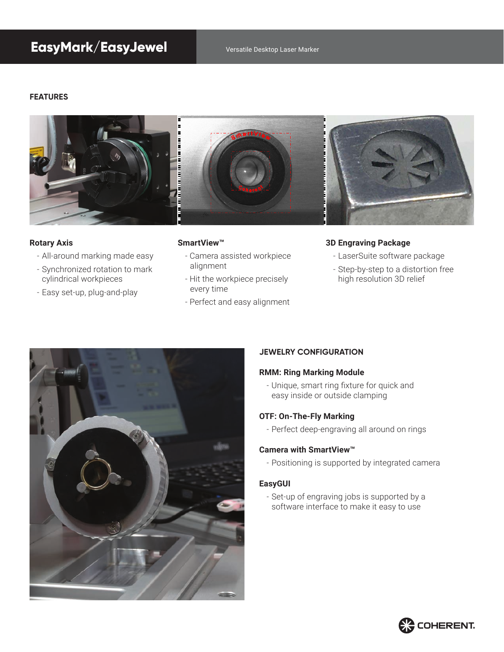# **EasyMark/EasyJewel** Versatile Desktop Laser Marker

#### **FEATURES**



#### **Rotary Axis**

- All-around marking made easy
- Synchronized rotation to mark cylindrical workpieces
- Easy set-up, plug-and-play

#### **SmartView™**

- Camera assisted workpiece alignment
- Hit the workpiece precisely every time
- Perfect and easy alignment

#### **3D Engraving Package**

- LaserSuite software package
- Step-by-step to a distortion free high resolution 3D relief



#### **JEWELRY CONFIGURATION**

#### **RMM: Ring Marking Module**

- Unique, smart ring fixture for quick and easy inside or outside clamping

#### **OTF: On-The-Fly Marking**

- Perfect deep-engraving all around on rings

#### **Camera with SmartView™**

- Positioning is supported by integrated camera

#### **EasyGUI**

- Set-up of engraving jobs is supported by a software interface to make it easy to use